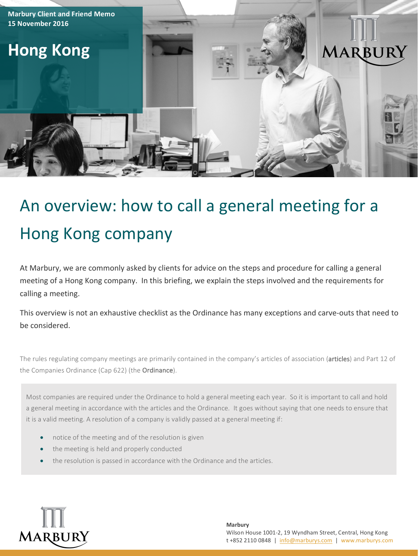

# An overview: how to call a general meeting for a Hong Kong company

At Marbury, we are commonly asked by clients for advice on the steps and procedure for calling a general meeting of a Hong Kong company. In this briefing, we explain the steps involved and the requirements for calling a meeting.

This overview is not an exhaustive checklist as the Ordinance has many exceptions and carve-outs that need to be considered.

The rules regulating company meetings are primarily contained in the company's articles of association (articles) and Part 12 of the Companies Ordinance (Cap 622) (the Ordinance).

Most companies are required under the Ordinance to hold a general meeting each year. So it is important to call and hold a general meeting in accordance with the articles and the Ordinance. It goes without saying that one needs to ensure that it is a valid meeting. A resolution of a company is validly passed at a general meeting if:

- notice of the meeting and of the resolution is given
- the meeting is held and properly conducted
- the resolution is passed in accordance with the Ordinance and the articles.

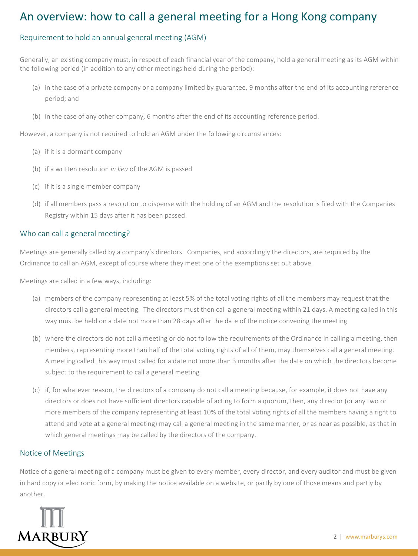## An overview: how to call a general meeting for a Hong Kong company

#### Requirement to hold an annual general meeting (AGM)

Generally, an existing company must, in respect of each financial year of the company, hold a general meeting as its AGM within the following period (in addition to any other meetings held during the period):

- (a) in the case of a private company or a company limited by guarantee, 9 months after the end of its accounting reference period; and
- (b) in the case of any other company, 6 months after the end of its accounting reference period.

However, a company is not required to hold an AGM under the following circumstances:

- (a) if it is a dormant company
- (b) if a written resolution *in lieu* of the AGM is passed
- (c) if it is a single member company
- (d) if all members pass a resolution to dispense with the holding of an AGM and the resolution is filed with the Companies Registry within 15 days after it has been passed.

#### Who can call a general meeting?

Meetings are generally called by a company's directors. Companies, and accordingly the directors, are required by the Ordinance to call an AGM, except of course where they meet one of the exemptions set out above.

Meetings are called in a few ways, including:

- (a) members of the company representing at least 5% of the total voting rights of all the members may request that the directors call a general meeting. The directors must then call a general meeting within 21 days. A meeting called in this way must be held on a date not more than 28 days after the date of the notice convening the meeting
- (b) where the directors do not call a meeting or do not follow the requirements of the Ordinance in calling a meeting, then members, representing more than half of the total voting rights of all of them, may themselves call a general meeting. A meeting called this way must called for a date not more than 3 months after the date on which the directors become subject to the requirement to call a general meeting
- (c) if, for whatever reason, the directors of a company do not call a meeting because, for example, it does not have any directors or does not have sufficient directors capable of acting to form a quorum, then, any director (or any two or more members of the company representing at least 10% of the total voting rights of all the members having a right to attend and vote at a general meeting) may call a general meeting in the same manner, or as near as possible, as that in which general meetings may be called by the directors of the company.

#### Notice of Meetings

Notice of a general meeting of a company must be given to every member, every director, and every auditor and must be given in hard copy or electronic form, by making the notice available on a website, or partly by one of those means and partly by another.

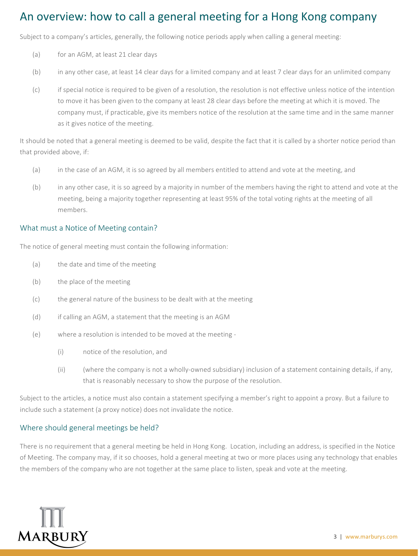## An overview: how to call a general meeting for a Hong Kong company

Subject to a company's articles, generally, the following notice periods apply when calling a general meeting:

- (a) for an AGM, at least 21 clear days
- (b) in any other case, at least 14 clear days for a limited company and at least 7 clear days for an unlimited company
- (c) if special notice is required to be given of a resolution, the resolution is not effective unless notice of the intention to move it has been given to the company at least 28 clear days before the meeting at which it is moved. The company must, if practicable, give its members notice of the resolution at the same time and in the same manner as it gives notice of the meeting.

It should be noted that a general meeting is deemed to be valid, despite the fact that it is called by a shorter notice period than that provided above, if:

- (a) in the case of an AGM, it is so agreed by all members entitled to attend and vote at the meeting, and
- (b) in any other case, it is so agreed by a majority in number of the members having the right to attend and vote at the meeting, being a majority together representing at least 95% of the total voting rights at the meeting of all members.

#### What must a Notice of Meeting contain?

The notice of general meeting must contain the following information:

- (a) the date and time of the meeting
- (b) the place of the meeting
- (c) the general nature of the business to be dealt with at the meeting
- (d) if calling an AGM, a statement that the meeting is an AGM
- (e) where a resolution is intended to be moved at the meeting -
	- (i) notice of the resolution, and
	- (ii) (where the company is not a wholly-owned subsidiary) inclusion of a statement containing details, if any, that is reasonably necessary to show the purpose of the resolution.

Subject to the articles, a notice must also contain a statement specifying a member's right to appoint a proxy. But a failure to include such a statement (a proxy notice) does not invalidate the notice.

#### Where should general meetings be held?

There is no requirement that a general meeting be held in Hong Kong. Location, including an address, is specified in the Notice of Meeting. The company may, if it so chooses, hold a general meeting at two or more places using any technology that enables the members of the company who are not together at the same place to listen, speak and vote at the meeting.